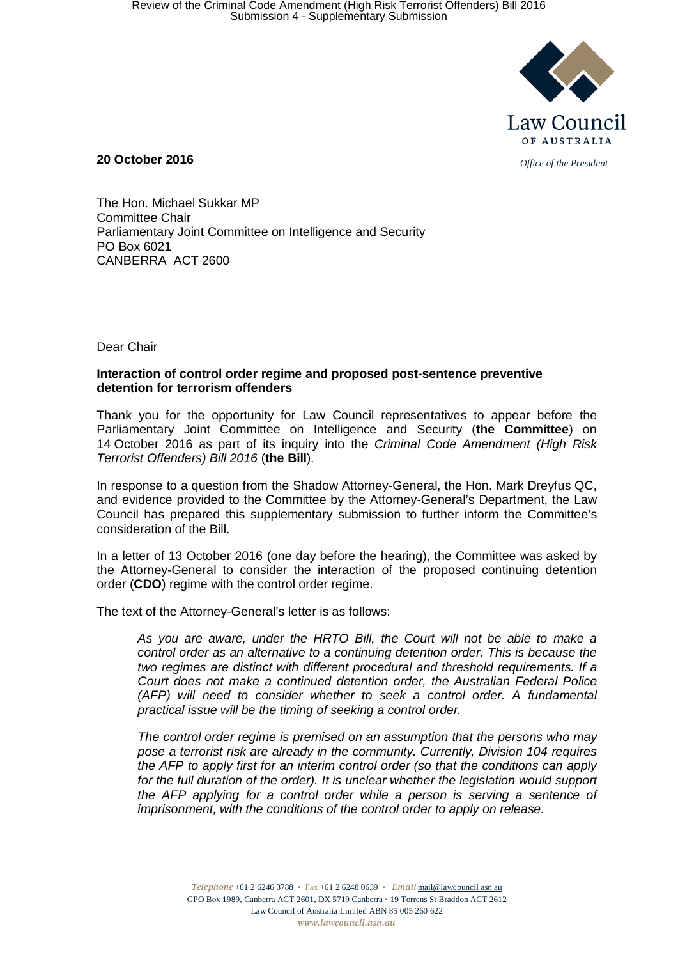

**20 October 2016** *Office of the President*

The Hon. Michael Sukkar MP Committee Chair Parliamentary Joint Committee on Intelligence and Security PO Box 6021 CANBERRA ACT 2600

Dear Chair

### **Interaction of control order regime and proposed post-sentence preventive detention for terrorism offenders**

Thank you for the opportunity for Law Council representatives to appear before the Parliamentary Joint Committee on Intelligence and Security (**the Committee**) on 14 October 2016 as part of its inquiry into the *Criminal Code Amendment (High Risk Terrorist Offenders) Bill 2016* (**the Bill**).

In response to a question from the Shadow Attorney-General, the Hon. Mark Dreyfus QC, and evidence provided to the Committee by the Attorney-General's Department, the Law Council has prepared this supplementary submission to further inform the Committee's consideration of the Bill.

In a letter of 13 October 2016 (one day before the hearing), the Committee was asked by the Attorney-General to consider the interaction of the proposed continuing detention order (**CDO**) regime with the control order regime.

The text of the Attorney-General's letter is as follows:

*As you are aware, under the HRTO Bill, the Court will not be able to make a control order as an alternative to a continuing detention order. This is because the two regimes are distinct with different procedural and threshold requirements. If a Court does not make a continued detention order, the Australian Federal Police (AFP) will need to consider whether to seek a control order. A fundamental practical issue will be the timing of seeking a control order.*

*The control order regime is premised on an assumption that the persons who may pose a terrorist risk are already in the community. Currently, Division 104 requires the AFP to apply first for an interim control order (so that the conditions can apply*  for the full duration of the order). It is unclear whether the legislation would support *the AFP applying for a control order while a person is serving a sentence of imprisonment, with the conditions of the control order to apply on release.*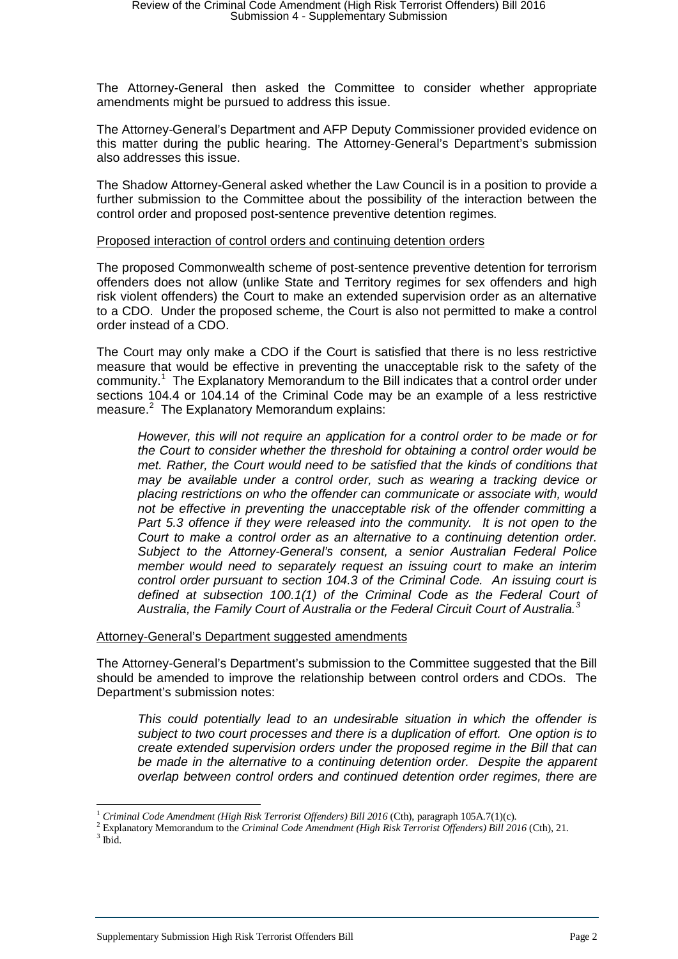The Attorney-General then asked the Committee to consider whether appropriate amendments might be pursued to address this issue.

The Attorney-General's Department and AFP Deputy Commissioner provided evidence on this matter during the public hearing. The Attorney-General's Department's submission also addresses this issue.

The Shadow Attorney-General asked whether the Law Council is in a position to provide a further submission to the Committee about the possibility of the interaction between the control order and proposed post-sentence preventive detention regimes.

### Proposed interaction of control orders and continuing detention orders

The proposed Commonwealth scheme of post-sentence preventive detention for terrorism offenders does not allow (unlike State and Territory regimes for sex offenders and high risk violent offenders) the Court to make an extended supervision order as an alternative to a CDO. Under the proposed scheme, the Court is also not permitted to make a control order instead of a CDO.

The Court may only make a CDO if the Court is satisfied that there is no less restrictive measure that would be effective in preventing the unacceptable risk to the safety of the community.<sup>1</sup> The Explanatory Memorandum to the Bill indicates that a control order under sections 104.4 or 104.14 of the Criminal Code may be an example of a less restrictive measure.<sup>2</sup> The Explanatory Memorandum explains:

*However, this will not require an application for a control order to be made or for the Court to consider whether the threshold for obtaining a control order would be met. Rather, the Court would need to be satisfied that the kinds of conditions that may be available under a control order, such as wearing a tracking device or placing restrictions on who the offender can communicate or associate with, would not be effective in preventing the unacceptable risk of the offender committing a*  Part 5.3 offence if they were released into the community. It is not open to the *Court to make a control order as an alternative to a continuing detention order. Subject to the Attorney-General's consent, a senior Australian Federal Police member would need to separately request an issuing court to make an interim control order pursuant to section 104.3 of the Criminal Code. An issuing court is defined at subsection 100.1(1) of the Criminal Code as the Federal Court of Australia, the Family Court of Australia or the Federal Circuit Court of Australia.<sup>3</sup>*

# Attorney-General's Department suggested amendments

The Attorney-General's Department's submission to the Committee suggested that the Bill should be amended to improve the relationship between control orders and CDOs. The Department's submission notes:

*This could potentially lead to an undesirable situation in which the offender is subject to two court processes and there is a duplication of effort. One option is to create extended supervision orders under the proposed regime in the Bill that can be made in the alternative to a continuing detention order. Despite the apparent overlap between control orders and continued detention order regimes, there are* 

<sup>&</sup>lt;sup>1</sup> Criminal Code Amendment (High Risk Terrorist Offenders) Bill 2016 (Cth), paragraph 105A.7(1)(c).<br><sup>2</sup> Explanatory Memorandum to the Criminal Code Amendment (High Risk Terrorist Offenders) Bill 2016 (Cth), 21.<br><sup>3</sup> Ibid.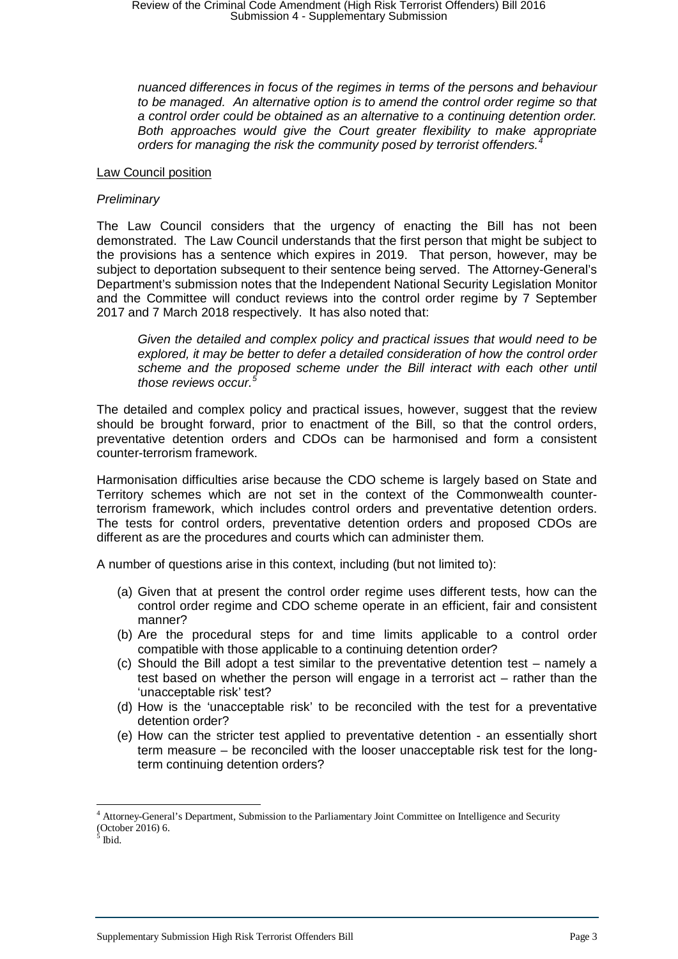*nuanced differences in focus of the regimes in terms of the persons and behaviour to be managed. An alternative option is to amend the control order regime so that a control order could be obtained as an alternative to a continuing detention order. Both approaches would give the Court greater flexibility to make appropriate orders for managing the risk the community posed by terrorist offenders.<sup>4</sup>*

# Law Council position

### *Preliminary*

The Law Council considers that the urgency of enacting the Bill has not been demonstrated. The Law Council understands that the first person that might be subject to the provisions has a sentence which expires in 2019. That person, however, may be subject to deportation subsequent to their sentence being served. The Attorney-General's Department's submission notes that the Independent National Security Legislation Monitor and the Committee will conduct reviews into the control order regime by 7 September 2017 and 7 March 2018 respectively. It has also noted that:

*Given the detailed and complex policy and practical issues that would need to be explored, it may be better to defer a detailed consideration of how the control order*  scheme and the proposed scheme under the Bill interact with each other until *those reviews occur.<sup>5</sup>*

The detailed and complex policy and practical issues, however, suggest that the review should be brought forward, prior to enactment of the Bill, so that the control orders, preventative detention orders and CDOs can be harmonised and form a consistent counter-terrorism framework.

Harmonisation difficulties arise because the CDO scheme is largely based on State and Territory schemes which are not set in the context of the Commonwealth counterterrorism framework, which includes control orders and preventative detention orders. The tests for control orders, preventative detention orders and proposed CDOs are different as are the procedures and courts which can administer them.

A number of questions arise in this context, including (but not limited to):

- (a) Given that at present the control order regime uses different tests, how can the control order regime and CDO scheme operate in an efficient, fair and consistent manner?
- (b) Are the procedural steps for and time limits applicable to a control order compatible with those applicable to a continuing detention order?
- (c) Should the Bill adopt a test similar to the preventative detention test namely a test based on whether the person will engage in a terrorist act – rather than the 'unacceptable risk' test?
- (d) How is the 'unacceptable risk' to be reconciled with the test for a preventative detention order?
- (e) How can the stricter test applied to preventative detention an essentially short term measure – be reconciled with the looser unacceptable risk test for the longterm continuing detention orders?

 <sup>4</sup> Attorney-General's Department, Submission to the Parliamentary Joint Committee on Intelligence and Security (October 2016) 6.<br> $5$  Ibid.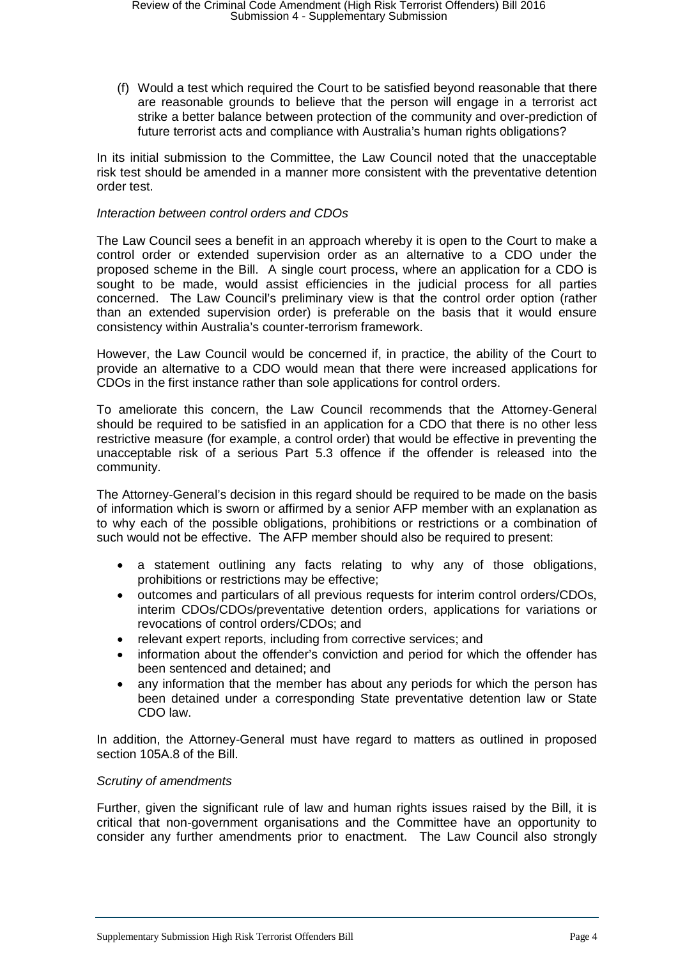(f) Would a test which required the Court to be satisfied beyond reasonable that there are reasonable grounds to believe that the person will engage in a terrorist act strike a better balance between protection of the community and over-prediction of future terrorist acts and compliance with Australia's human rights obligations?

In its initial submission to the Committee, the Law Council noted that the unacceptable risk test should be amended in a manner more consistent with the preventative detention order test.

# *Interaction between control orders and CDOs*

The Law Council sees a benefit in an approach whereby it is open to the Court to make a control order or extended supervision order as an alternative to a CDO under the proposed scheme in the Bill. A single court process, where an application for a CDO is sought to be made, would assist efficiencies in the judicial process for all parties concerned. The Law Council's preliminary view is that the control order option (rather than an extended supervision order) is preferable on the basis that it would ensure consistency within Australia's counter-terrorism framework.

However, the Law Council would be concerned if, in practice, the ability of the Court to provide an alternative to a CDO would mean that there were increased applications for CDOs in the first instance rather than sole applications for control orders.

To ameliorate this concern, the Law Council recommends that the Attorney-General should be required to be satisfied in an application for a CDO that there is no other less restrictive measure (for example, a control order) that would be effective in preventing the unacceptable risk of a serious Part 5.3 offence if the offender is released into the community.

The Attorney-General's decision in this regard should be required to be made on the basis of information which is sworn or affirmed by a senior AFP member with an explanation as to why each of the possible obligations, prohibitions or restrictions or a combination of such would not be effective. The AFP member should also be required to present:

- a statement outlining any facts relating to why any of those obligations, prohibitions or restrictions may be effective;
- outcomes and particulars of all previous requests for interim control orders/CDOs, interim CDOs/CDOs/preventative detention orders, applications for variations or revocations of control orders/CDOs; and
- relevant expert reports, including from corrective services; and
- information about the offender's conviction and period for which the offender has been sentenced and detained; and
- any information that the member has about any periods for which the person has been detained under a corresponding State preventative detention law or State CDO law.

In addition, the Attorney-General must have regard to matters as outlined in proposed section 105A.8 of the Bill.

# *Scrutiny of amendments*

Further, given the significant rule of law and human rights issues raised by the Bill, it is critical that non-government organisations and the Committee have an opportunity to consider any further amendments prior to enactment. The Law Council also strongly